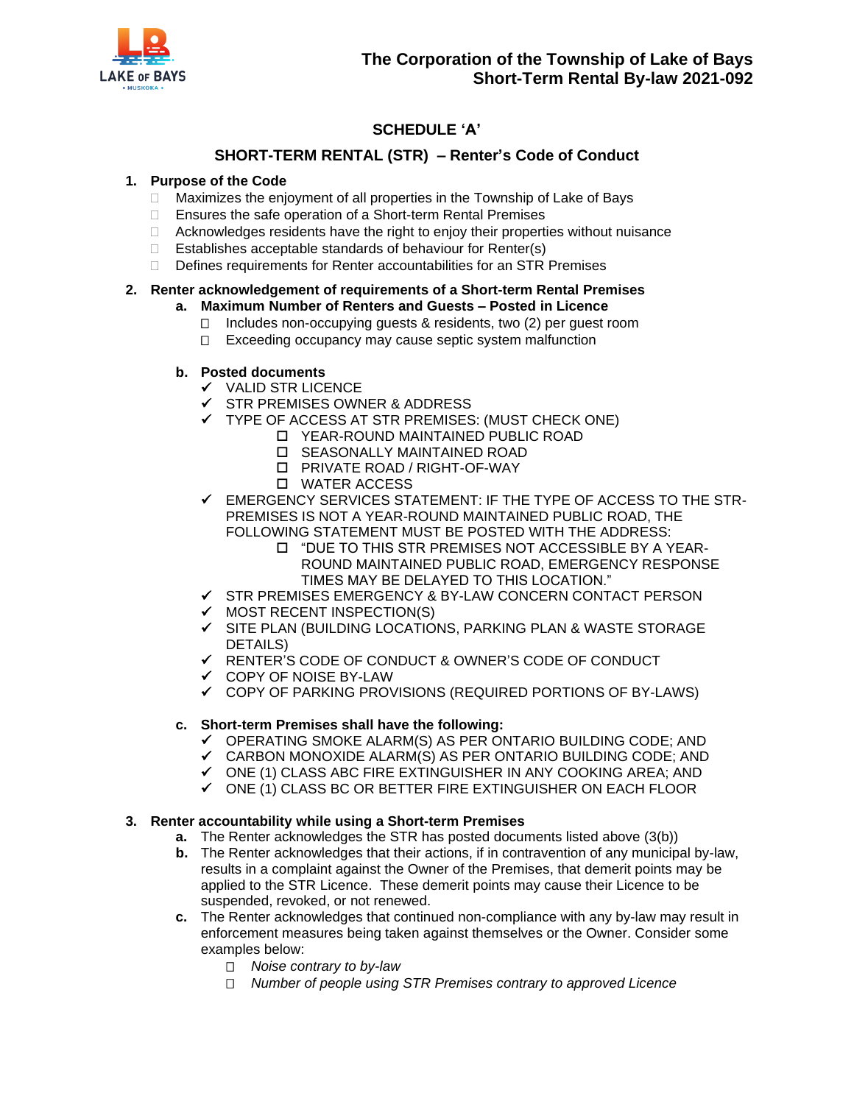

# **SCHEDULE 'A'**

# **SHORT-TERM RENTAL (STR) – Renter's Code of Conduct**

### **1. Purpose of the Code**

- $\Box$  Maximizes the enjoyment of all properties in the Township of Lake of Bays
- □ Ensures the safe operation of a Short-term Rental Premises
- $\Box$  Acknowledges residents have the right to enjoy their properties without nuisance
- $\Box$  Establishes acceptable standards of behaviour for Renter(s)
- □ Defines requirements for Renter accountabilities for an STR Premises

### **2. Renter acknowledgement of requirements of a Short-term Rental Premises**

### **a. Maximum Number of Renters and Guests – Posted in Licence**

- $\Box$  Includes non-occupying guests & residents, two (2) per guest room
- $\Box$  Exceeding occupancy may cause septic system malfunction

### **b. Posted documents**

- ✓ VALID STR LICENCE
- ✓ STR PREMISES OWNER & ADDRESS
- ✓ TYPE OF ACCESS AT STR PREMISES: (MUST CHECK ONE)
	- YEAR-ROUND MAINTAINED PUBLIC ROAD
	- SEASONALLY MAINTAINED ROAD
	- PRIVATE ROAD / RIGHT-OF-WAY
	- WATER ACCESS
- EMERGENCY SERVICES STATEMENT: IF THE TYPE OF ACCESS TO THE STR-PREMISES IS NOT A YEAR-ROUND MAINTAINED PUBLIC ROAD, THE FOLLOWING STATEMENT MUST BE POSTED WITH THE ADDRESS:
	- "DUE TO THIS STR PREMISES NOT ACCESSIBLE BY A YEAR-ROUND MAINTAINED PUBLIC ROAD, EMERGENCY RESPONSE TIMES MAY BE DELAYED TO THIS LOCATION."
- ✓ STR PREMISES EMERGENCY & BY-LAW CONCERN CONTACT PERSON
- ✓ MOST RECENT INSPECTION(S)
- ✓ SITE PLAN (BUILDING LOCATIONS, PARKING PLAN & WASTE STORAGE DETAILS)
- ✓ RENTER'S CODE OF CONDUCT & OWNER'S CODE OF CONDUCT
- ✓ COPY OF NOISE BY-LAW
- ✓ COPY OF PARKING PROVISIONS (REQUIRED PORTIONS OF BY-LAWS)

#### **c. Short-term Premises shall have the following:**

- $\checkmark$  OPERATING SMOKE ALARM(S) AS PER ONTARIO BUILDING CODE; AND
- $\checkmark$  CARBON MONOXIDE ALARM(S) AS PER ONTARIO BUILDING CODE; AND
- ✓ ONE (1) CLASS ABC FIRE EXTINGUISHER IN ANY COOKING AREA; AND
- $\checkmark$  ONE (1) CLASS BC OR BETTER FIRE EXTINGUISHER ON EACH FLOOR

#### **3. Renter accountability while using a Short-term Premises**

- **a.** The Renter acknowledges the STR has posted documents listed above (3(b))
- **b.** The Renter acknowledges that their actions, if in contravention of any municipal by-law, results in a complaint against the Owner of the Premises, that demerit points may be applied to the STR Licence. These demerit points may cause their Licence to be suspended, revoked, or not renewed.
- **c.** The Renter acknowledges that continued non-compliance with any by-law may result in enforcement measures being taken against themselves or the Owner. Consider some examples below:
	- *Noise contrary to by-law*
	- *Number of people using STR Premises contrary to approved Licence*